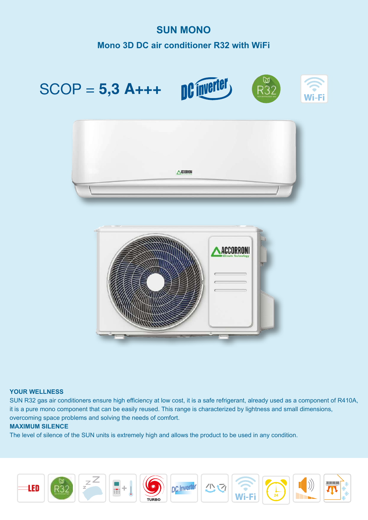# **SUN MONO Mono 3D DC air conditioner R32 with WiFi DC inverter** SCOP = **5,3 A+++**  Wi-Fi ACCORRON ACCORRONI

### **YOUR WELLNESS**

SUN R32 gas air conditioners ensure high efficiency at low cost, it is a safe refrigerant, already used as a component of R410A, it is a pure mono component that can be easily reused. This range is characterized by lightness and small dimensions, overcoming space problems and solving the needs of comfort.

### **MAXIMUM SILENCE**

The level of silence of the SUN units is extremely high and allows the product to be used in any condition.















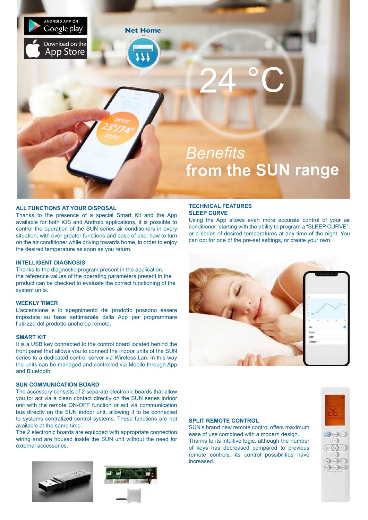

### **ALL FUNCTIONS AT YOUR DISPOSAL**

Thanks to the presence of a special Smart Kit and the App available for both iOS and Android applications, it is possible to control the operation of the SUN series air conditioners in every situation, with ever greater functions and ease of use: how to turn on the air conditioner while driving towards home, in order to enjoy the desired temperature as soon as you return.

### **INTELLIGENT DIAGNOSIS**

Thanks to the diagnostic program present in the application, the reference values of the operating parameters present in the product can be checked to evaluate the correct functioning of the system units.

### **WEEKLY TIMER**

L'accensione e lo spegnimento del prodotto possono essere impostate su base settimanale della App per programmare l'utilizzo del prodotto anche da remoto.

### **SMART KIT**

It is a USB key connected to the control board located behind the front panel that allows you to connect the indoor units of the SUN series to a dedicated control server via Wireless Lan. In this way the units can be managed and controlled via Mobile through App and Bluetooth.

### **SUN COMMUNICATION BOARD**

The accessory consists of 2 separate electronic boards that allow you to: act via a clean contact directly on the SUN series indoor unit with the remote ON-OFF function or act via communication bus directly on the SUN indoor unit, allowing it to be connected to systems centralized control systems. These functions are not available at the same time.

The 2 electronic boards are equipped with appropriate connection wiring and are housed inside the SUN unit without the need for external accessories.





### **TECHNICAL FEATURES SLEEP CURVE**

Using the App allows even more accurate control of your air conditioner: starting with the ability to program a "SLEEP CURVE", or a series of desired temperatures at any time of the night. You can opt for one of the pre-set settings, or create your own.



### **SPLIT REMOTE CONTROL**

SUN's brand new remote control offers maximum ease of use combined with a modern design. Thanks to its intuitive logic, although the number of keys has decreased compared to previous remote controls, its control possibilities have increased.

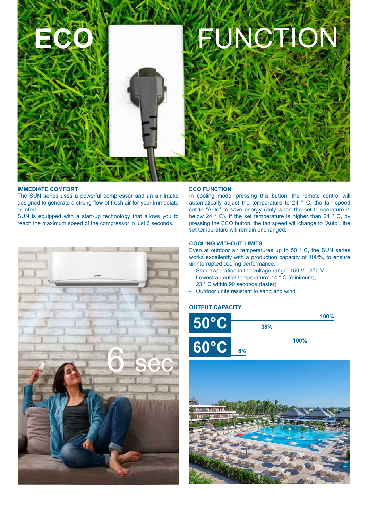

### **IMMEDIATE COMFORT**

The SUN series uses a powerful compressor and an air intake designed to generate a strong flow of fresh air for your immediate comfort.

SUN is equipped with a start-up technology that allows you to reach the maximum speed of the compressor in just 6 seconds.

### **ECO FUNCTION**

In cooling mode, pressing this button, the remote control will automatically adjust the temperature to 24 ° C, the fan speed set to "Auto" to save energy (only when the set temperature is below 24 ° C). If the set temperature is higher than 24 ° C, by pressing the ECO button, the fan speed will change to "Auto", the set temperature will remain unchanged.

### **COOLING WITHOUT LIMITS**

Even at outdoor air temperatures up to 50 ° C, the SUN series works excellently with a production capacity of 100%, to ensure uninterrupted cooling performance.

- Stable operation in the voltage range: 150 V 270 V
- Lowest air outlet temperature: 14 ° C (minimum),
- 23 ° C within 90 seconds (faster)
- Outdoor units resistant to sand and wind

### **OUTPUT CAPACITY**





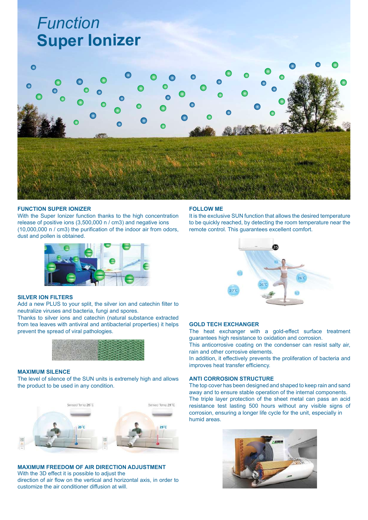# *Function* **Super Ionizer**



### **FUNCTION SUPER IONIZER**

With the Super Ionizer function thanks to the high concentration release of positive ions (3,500,000 n / cm3) and negative ions (10,000,000 n / cm3) the purification of the indoor air from odors, dust and pollen is obtained.



### **SILVER ION FILTERS**

Add a new PLUS to your split, the silver ion and catechin filter to neutralize viruses and bacteria, fungi and spores.

Thanks to silver ions and catechin (natural substance extracted from tea leaves with antiviral and antibacterial properties) it helps prevent the spread of viral pathologies.



### **MAXIMUM SILENCE**

The level of silence of the SUN units is extremely high and allows the product to be used in any condition.



**MAXIMUM FREEDOM OF AIR DIRECTION ADJUSTMENT** With the 3D effect it is possible to adjust the direction of air flow on the vertical and horizontal axis, in order to customize the air conditioner diffusion at will.

### **FOLLOW ME**

It is the exclusive SUN function that allows the desired temperature to be quickly reached, by detecting the room temperature near the remote control. This guarantees excellent comfort.



### **GOLD TECH EXCHANGER**

The heat exchanger with a gold-effect surface treatment guarantees high resistance to oxidation and corrosion.

This anticorrosive coating on the condenser can resist salty air, rain and other corrosive elements.

In addition, it effectively prevents the proliferation of bacteria and improves heat transfer efficiency.

### **ANTI CORROSION STRUCTURE**

The top cover has been designed and shaped to keep rain and sand away and to ensure stable operation of the internal components. The triple layer protection of the sheet metal can pass an acid resistance test lasting 500 hours without any visible signs of corrosion, ensuring a longer life cycle for the unit, especially in humid areas.

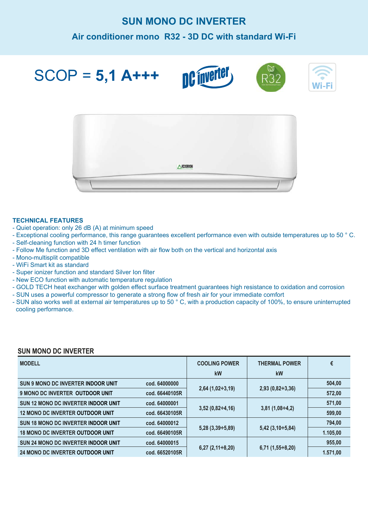## **SUN MONO DC INVERTER**

### **Air conditioner mono R32 - 3D DC with standard Wi-Fi**

SCOP = **5,1 A+++**









### **TECHNICAL FEATURES**

- Quiet operation: only 26 dB (A) at minimum speed
- Exceptional cooling performance, this range guarantees excellent performance even with outside temperatures up to 50 ° C.
- Self-cleaning function with 24 h timer function
- Follow Me function and 3D effect ventilation with air flow both on the vertical and horizontal axis
- Mono-multisplit compatible
- WiFi Smart kit as standard
- Super ionizer function and standard Silver Ion filter
- New ECO function with automatic temperature regulation
- GOLD TECH heat exchanger with golden effect surface treatment guarantees high resistance to oxidation and corrosion
- SUN uses a powerful compressor to generate a strong flow of fresh air for your immediate comfort
- SUN also works well at external air temperatures up to 50 ° C, with a production capacity of 100%, to ensure uninterrupted cooling performance.

#### **MODELL SUN 9 MONO DC INVERTER INDOOR UNIT 9 MONO DC INVERTER OUTDOOR UNIT SUN 12 MONO DC INVERTER INDOOR UNIT 12 MONO DC INVERTER OUTDOOR UNIT SUN 18 MONO DC INVERTER INDOOR UNIT 18 MONO DC INVERTER OUTDOOR UNIT SUN 24 MONO DC INVERTER INDOOR UNIT 24 MONO DC INVERTER OUTDOOR UNIT COOLING POWER kW 2,64 (1,02÷3,19) 3,52 (0,82÷4,16) 5,28 (3,39÷5,89) 6,27 (2,11÷8,20) THERMAL POWER kW 2,93 (0,82÷3,36) 3,81 (1,08÷4,2) 5,42 (3,10÷5,84) 6,71 (1,55÷8,20) € 504,00 572,00 571,00 599,00 794,00 1.105,00 955,00 1.571,00 cod. 64000000 cod. 66440105R cod. 64000001 cod. 66430105R cod. 64000012 cod. 66490105R cod. 64000015 cod. 66520105R**

### **SUN MONO DC INVERTER**